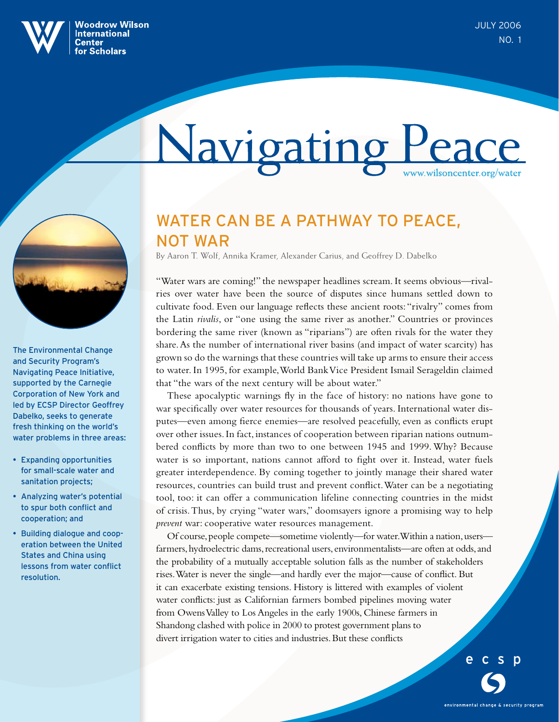



# Navigating Peace wilsoncenter.org/water.



The Environmental Change and Security Program's Navigating Peace Initiative, supported by the Carnegie Corporation of New York and led by ECSP Director Geoffrey Dabelko, seeks to generate fresh thinking on the world's water problems in three areas:

- Expanding opportunities for small-scale water and sanitation projects;
- Analyzing water's potential to spur both conflict and cooperation; and
- Building dialogue and cooperation between the United States and China using lessons from water conflict resolution.

### WATER CAN BE A PATHWAY TO PEACE, Not War

By Aaron T. Wolf, Annika Kramer, Alexander Carius, and Geoffrey D. Dabelko

"Water wars are coming!" the newspaper headlines scream. It seems obvious—rivalries over water have been the source of disputes since humans settled down to cultivate food. Even our language reflects these ancient roots: "rivalry" comes from the Latin *rivalis*, or "one using the same river as another." Countries or provinces bordering the same river (known as "riparians") are often rivals for the water they share. As the number of international river basins (and impact of water scarcity) has grown so do the warnings that these countries will take up arms to ensure their access to water. In 1995, for example, World Bank Vice President Ismail Serageldin claimed that "the wars of the next century will be about water."

These apocalyptic warnings fly in the face of history: no nations have gone to war specifically over water resources for thousands of years. International water disputes—even among fierce enemies—are resolved peacefully, even as conflicts erupt over other issues. In fact, instances of cooperation between riparian nations outnumbered conflicts by more than two to one between 1945 and 1999. Why? Because water is so important, nations cannot afford to fight over it. Instead, water fuels greater interdependence. By coming together to jointly manage their shared water resources, countries can build trust and prevent conflict. Water can be a negotiating tool, too: it can offer a communication lifeline connecting countries in the midst of crisis. Thus, by crying "water wars," doomsayers ignore a promising way to help *prevent* war: cooperative water resources management.

Of course, people compete—sometime violently—for water. Within a nation, users farmers, hydroelectric dams, recreational users, environmentalists—are often at odds, and the probability of a mutually acceptable solution falls as the number of stakeholders rises. Water is never the single—and hardly ever the major—cause of conflict. But it can exacerbate existing tensions. History is littered with examples of violent water conflicts: just as Californian farmers bombed pipelines moving water from Owens Valley to Los Angeles in the early 1900s, Chinese farmers in Shandong clashed with police in 2000 to protest government plans to divert irrigation water to cities and industries. But these conflicts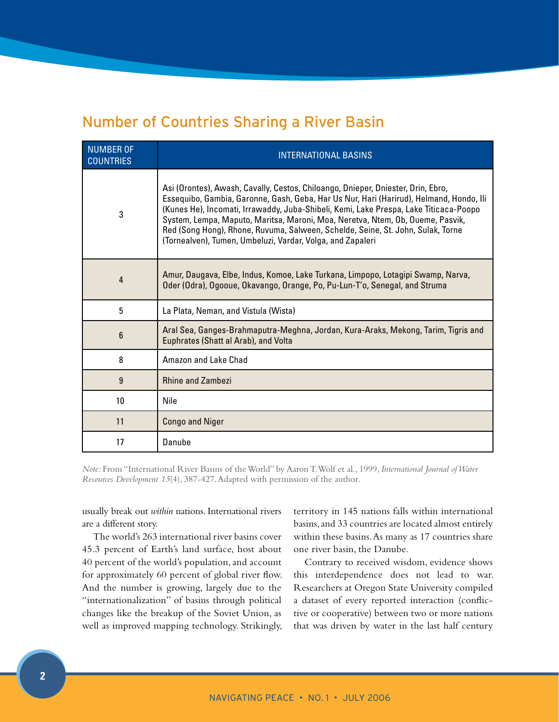### Number of Countries Sharing a River Basin

| <b>NUMBER OF</b><br><b>COUNTRIES</b> | <b>INTERNATIONAL BASINS</b>                                                                                                                                                                                                                                                                                                                                                                                                                                                                             |
|--------------------------------------|---------------------------------------------------------------------------------------------------------------------------------------------------------------------------------------------------------------------------------------------------------------------------------------------------------------------------------------------------------------------------------------------------------------------------------------------------------------------------------------------------------|
| 3                                    | Asi (Orontes), Awash, Cavally, Cestos, Chiloango, Dnieper, Dniester, Drin, Ebro,<br>Essequibo, Gambia, Garonne, Gash, Geba, Har Us Nur, Hari (Harirud), Helmand, Hondo, Ili<br>(Kunes He), Incomati, Irrawaddy, Juba-Shibeli, Kemi, Lake Prespa, Lake Titicaca-Poopo<br>System, Lempa, Maputo, Maritsa, Maroni, Moa, Neretva, Ntem, Ob, Oueme, Pasvik,<br>Red (Song Hong), Rhone, Ruvuma, Salween, Schelde, Seine, St. John, Sulak, Torne<br>(Tornealven), Tumen, Umbeluzi, Vardar, Volga, and Zapaleri |
| 4                                    | Amur, Daugava, Elbe, Indus, Komoe, Lake Turkana, Limpopo, Lotagipi Swamp, Narva,<br>Oder (Odra), Ogooue, Okavango, Orange, Po, Pu-Lun-T'o, Senegal, and Struma                                                                                                                                                                                                                                                                                                                                          |
| 5                                    | La Plata, Neman, and Vistula (Wista)                                                                                                                                                                                                                                                                                                                                                                                                                                                                    |
| 6                                    | Aral Sea, Ganges-Brahmaputra-Meghna, Jordan, Kura-Araks, Mekong, Tarim, Tigris and<br>Euphrates (Shatt al Arab), and Volta                                                                                                                                                                                                                                                                                                                                                                              |
| 8                                    | Amazon and Lake Chad                                                                                                                                                                                                                                                                                                                                                                                                                                                                                    |
| 9                                    | <b>Rhine and Zambezi</b>                                                                                                                                                                                                                                                                                                                                                                                                                                                                                |
| 10                                   | Nile                                                                                                                                                                                                                                                                                                                                                                                                                                                                                                    |
| 11                                   | <b>Congo and Niger</b>                                                                                                                                                                                                                                                                                                                                                                                                                                                                                  |
| 17                                   | Danube                                                                                                                                                                                                                                                                                                                                                                                                                                                                                                  |

*Note:* From "International River Basins of the World" by Aaron T. Wolf et al., 1999, *International Journal of Water Resources Development 15*(4), 387-427. Adapted with permission of the author.

usually break out *within* nations. International rivers are a different story.

The world's 263 international river basins cover 45.3 percent of Earth's land surface, host about 40 percent of the world's population, and account for approximately 60 percent of global river flow. And the number is growing, largely due to the "internationalization" of basins through political changes like the breakup of the Soviet Union, as well as improved mapping technology. Strikingly,

territory in 145 nations falls within international basins, and 33 countries are located almost entirely within these basins. As many as 17 countries share one river basin, the Danube.

Contrary to received wisdom, evidence shows this interdependence does not lead to war. Researchers at Oregon State University compiled a dataset of every reported interaction (conflictive or cooperative) between two or more nations that was driven by water in the last half century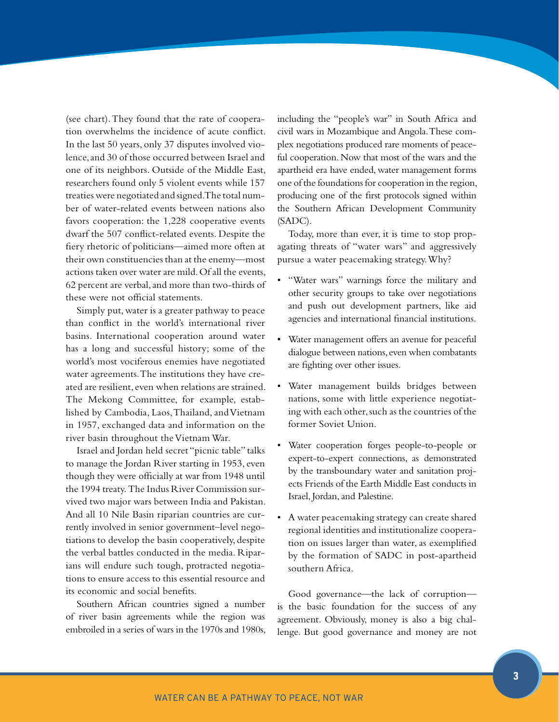(see chart). They found that the rate of cooperation overwhelms the incidence of acute conflict. In the last 50 years, only 37 disputes involved violence, and 30 of those occurred between Israel and one of its neighbors. Outside of the Middle East, researchers found only 5 violent events while 157 treaties were negotiated and signed. The total number of water-related events between nations also favors cooperation: the 1,228 cooperative events dwarf the 507 conflict-related events. Despite the fiery rhetoric of politicians—aimed more often at their own constituencies than at the enemy—most actions taken over water are mild. Of all the events, 62 percent are verbal, and more than two-thirds of these were not official statements.

Simply put, water is a greater pathway to peace than conflict in the world's international river basins. International cooperation around water has a long and successful history; some of the world's most vociferous enemies have negotiated water agreements. The institutions they have created are resilient, even when relations are strained. The Mekong Committee, for example, established by Cambodia, Laos, Thailand, and Vietnam in 1957, exchanged data and information on the river basin throughout the Vietnam War.

Israel and Jordan held secret "picnic table" talks to manage the Jordan River starting in 1953, even though they were officially at war from 1948 until the 1994 treaty. The Indus River Commission survived two major wars between India and Pakistan. And all 10 Nile Basin riparian countries are currently involved in senior government–level negotiations to develop the basin cooperatively, despite the verbal battles conducted in the media. Riparians will endure such tough, protracted negotiations to ensure access to this essential resource and its economic and social benefits.

Southern African countries signed a number of river basin agreements while the region was embroiled in a series of wars in the 1970s and 1980s, including the "people's war" in South Africa and civil wars in Mozambique and Angola. These complex negotiations produced rare moments of peaceful cooperation. Now that most of the wars and the apartheid era have ended, water management forms one of the foundations for cooperation in the region, producing one of the first protocols signed within the Southern African Development Community (SADC).

Today, more than ever, it is time to stop propagating threats of "water wars" and aggressively pursue a water peacemaking strategy. Why?

- "Water wars" warnings force the military and other security groups to take over negotiations and push out development partners, like aid agencies and international financial institutions.
- Water management offers an avenue for peaceful dialogue between nations, even when combatants are fighting over other issues.
- Water management builds bridges between nations, some with little experience negotiating with each other, such as the countries of the former Soviet Union.
- Water cooperation forges people-to-people or expert-to-expert connections, as demonstrated by the transboundary water and sanitation projects Friends of the Earth Middle East conducts in Israel, Jordan, and Palestine.
- A water peacemaking strategy can create shared regional identities and institutionalize cooperation on issues larger than water, as exemplified by the formation of SADC in post-apartheid southern Africa.

Good governance—the lack of corruption is the basic foundation for the success of any agreement. Obviously, money is also a big challenge. But good governance and money are not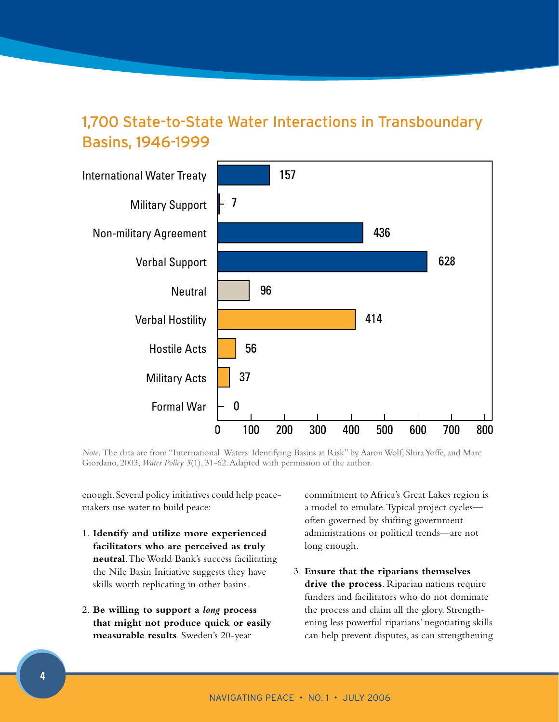### 1,700 State-to-State Water Interactions in Transboundary Basins, 1946-1999



*Note:* The data are from "International Waters: Identifying Basins at Risk" by Aaron Wolf, Shira Yoffe, and Marc Giordano, 2003, *Water Policy 5*(1), 31-62. Adapted with permission of the author.

enough. Several policy initiatives could help peacemakers use water to build peace:

- 1. **Identify and utilize more experienced facilitators who are perceived as truly neutral**. The World Bank's success facilitating the Nile Basin Initiative suggests they have skills worth replicating in other basins.
- 2. **Be willing to support a** *long* **process that might not produce quick or easily measurable results**. Sweden's 20-year

commitment to Africa's Great Lakes region is a model to emulate. Typical project cycles often governed by shifting government administrations or political trends—are not long enough.

3. **Ensure that the riparians themselves drive the process**. Riparian nations require funders and facilitators who do not dominate the process and claim all the glory. Strengthening less powerful riparians' negotiating skills can help prevent disputes, as can strengthening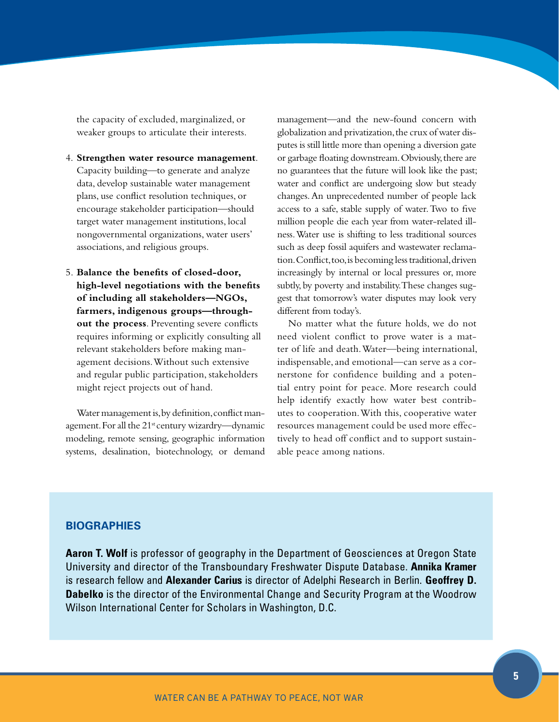the capacity of excluded, marginalized, or weaker groups to articulate their interests.

- 4. **Strengthen water resource management**. Capacity building—to generate and analyze data, develop sustainable water management plans, use conflict resolution techniques, or encourage stakeholder participation—should target water management institutions, local nongovernmental organizations, water users' associations, and religious groups.
- 5. **Balance the benefits of closed-door, high-level negotiations with the benefits of including all stakeholders—NGOs, farmers, indigenous groups—throughout the process**. Preventing severe conflicts requires informing or explicitly consulting all relevant stakeholders before making management decisions. Without such extensive and regular public participation, stakeholders might reject projects out of hand.

Water management is, by definition, conflict management. For all the 21<sup>st</sup> century wizardry-dynamic modeling, remote sensing, geographic information systems, desalination, biotechnology, or demand management—and the new-found concern with globalization and privatization, the crux of water disputes is still little more than opening a diversion gate or garbage floating downstream. Obviously, there are no guarantees that the future will look like the past; water and conflict are undergoing slow but steady changes. An unprecedented number of people lack access to a safe, stable supply of water. Two to five million people die each year from water-related illness. Water use is shifting to less traditional sources such as deep fossil aquifers and wastewater reclamation. Conflict, too, is becoming less traditional, driven increasingly by internal or local pressures or, more subtly, by poverty and instability. These changes suggest that tomorrow's water disputes may look very different from today's.

No matter what the future holds, we do not need violent conflict to prove water is a matter of life and death. Water—being international, indispensable, and emotional—can serve as a cornerstone for confidence building and a potential entry point for peace. More research could help identify exactly how water best contributes to cooperation. With this, cooperative water resources management could be used more effectively to head off conflict and to support sustainable peace among nations.

#### **Biographies**

**Aaron T. Wolf** is professor of geography in the Department of Geosciences at Oregon State University and director of the Transboundary Freshwater Dispute Database. **Annika Kramer** is research fellow and **Alexander Carius** is director of Adelphi Research in Berlin. **Geoffrey D. Dabelko** is the director of the Environmental Change and Security Program at the Woodrow Wilson International Center for Scholars in Washington, D.C.